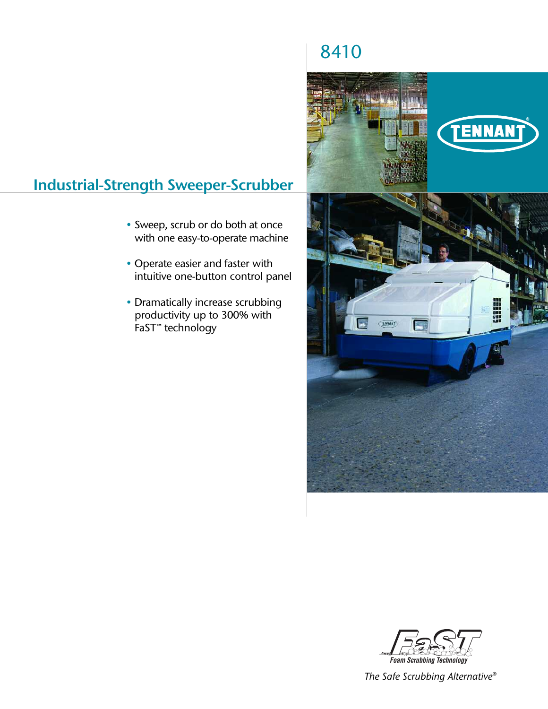# **Industrial-Strength Sweeper-Scrubber**

- Sweep, scrub or do both at once with one easy-to-operate machine
- Operate easier and faster with intuitive one-button control panel
- Dramatically increase scrubbing productivity up to 300% with FaST™ technology







*The Safe Scrubbing Alternative®*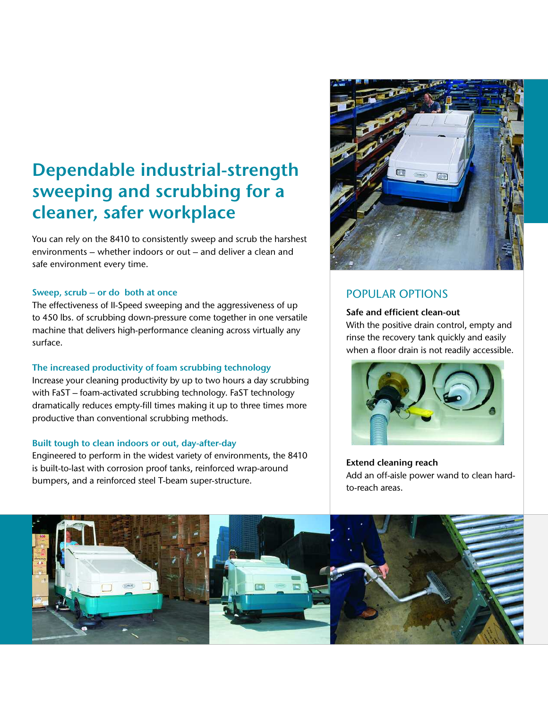# **Dependable industrial-strength sweeping and scrubbing for a cleaner, safer workplace**

You can rely on the 8410 to consistently sweep and scrub the harshest environments – whether indoors or out – and deliver a clean and safe environment every time.

## **Sweep, scrub – or do both at once**

The effectiveness of II-Speed sweeping and the aggressiveness of up to 450 lbs. of scrubbing down-pressure come together in one versatile machine that delivers high-performance cleaning across virtually any surface.

## **The increased productivity of foam scrubbing technology**

Increase your cleaning productivity by up to two hours a day scrubbing with FaST – foam-activated scrubbing technology. FaST technology dramatically reduces empty-fill times making it up to three times more productive than conventional scrubbing methods.

## **Built tough to clean indoors or out, day-after-day**

Engineered to perform in the widest variety of environments, the 8410 is built-to-last with corrosion proof tanks, reinforced wrap-around bumpers, and a reinforced steel T-beam super-structure.



## POPULAR OPTIONS

## **Safe and efficient clean-out**

With the positive drain control, empty and rinse the recovery tank quickly and easily when a floor drain is not readily accessible.



**Extend cleaning reach** Add an off-aisle power wand to clean hardto-reach areas.

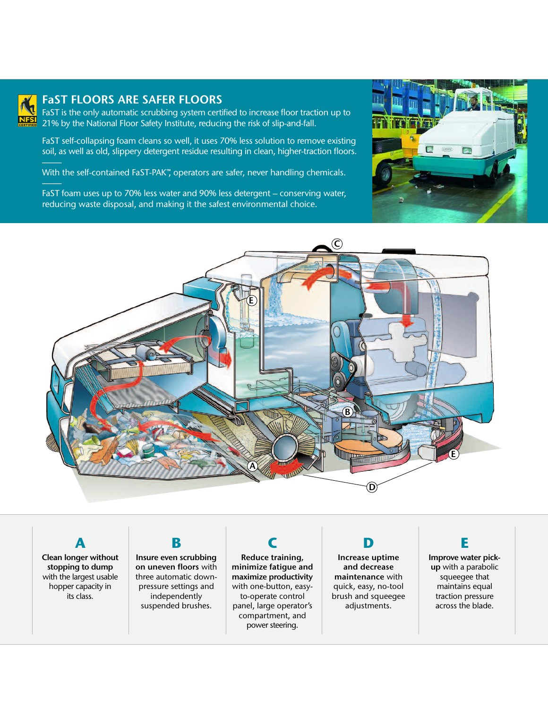

## **FaST FLOORS ARE SAFER FLOORS**

FaST is the only automatic scrubbing system certified to increase floor traction up to 21% by the National Floor Safety Institute, reducing the risk of slip-and-fall.

FaST self-collapsing foam cleans so well, it uses 70% less solution to remove existing soil, as well as old, slippery detergent residue resulting in clean, higher-traction floors.

With the self-contained FaST-PAK™, operators are safer, never handling chemicals.

FaST foam uses up to 70% less water and 90% less detergent – conserving water, reducing waste disposal, and making it the safest environmental choice.





**Clean longer without stopping to dump** with the largest usable hopper capacity in its class.

**A**

# **B**

**Insure even scrubbing on uneven floors** with three automatic downpressure settings and independently suspended brushes.

**Reduce training, minimize fatigue and maximize productivity** with one-button, easyto-operate control panel, large operator's compartment, and power steering.

**C**

**D Increase uptime** 

**and decrease maintenance** with quick, easy, no-tool brush and squeegee adjustments.

**E**

**Improve water pickup** with a parabolic squeegee that maintains equal traction pressure across the blade.